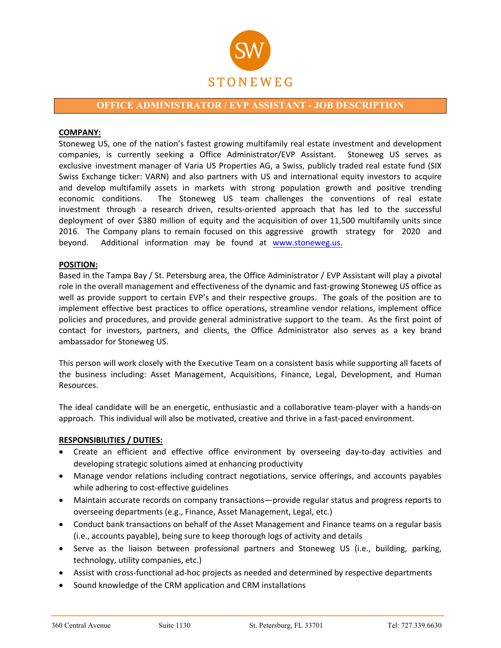

# **OFFICE ADMINISTRATOR / EVP ASSISTANT - JOB DESCRIPTION**

#### **COMPANY:**

Stoneweg US, one of the nation's fastest growing multifamily real estate investment and development companies, is currently seeking a Office Administrator/EVP Assistant. Stoneweg US serves as exclusive investment manager of Varia US Properties AG, a Swiss, publicly traded real estate fund (SIX Swiss Exchange ticker: VARN) and also partners with US and international equity investors to acquire and develop multifamily assets in markets with strong population growth and positive trending economic conditions. The Stoneweg US team challenges the conventions of real estate investment through a research driven, results-oriented approach that has led to the successful deployment of over \$380 million of equity and the acquisition of over 11,500 multifamily units since 2016. The Company plans to remain focused on this aggressive growth strategy for 2020 and [beyond. Addition](http://www.stoneweg.us/)al information may be found at www.stoneweg.us.

## **POSITION:**

Based in the Tampa Bay / St. Petersburg area, the Office Administrator / EVP Assistant will play a pivotal role in the overall management and effectiveness of the dynamic and fast-growing Stoneweg US office as well as provide support to certain EVP's and their respective groups. The goals of the position are to implement effective best practices to office operations, streamline vendor relations, implement office policies and procedures, and provide general administrative support to the team. As the first point of contact for investors, partners, and clients, the Office Administrator also serves as a key brand ambassador for Stoneweg US.

This person will work closely with the Executive Team on a consistent basis while supporting all facets of the business including: Asset Management, Acquisitions, Finance, Legal, Development, and Human Resources.

The ideal candidate will be an energetic, enthusiastic and a collaborative team-player with a hands-on approach. This individual will also be motivated, creative and thrive in a fast-paced environment.

#### **RESPONSIBILITIES / DUTIES:**

- Create an efficient and effective office environment by overseeing day-to-day activities and developing strategic solutions aimed at enhancing productivity
- Manage vendor relations including contract negotiations, service offerings, and accounts payables while adhering to cost-effective guidelines
- Maintain accurate records on company transactions—provide regular status and progress reports to overseeing departments (e.g., Finance, Asset Management, Legal, etc.)
- Conduct bank transactions on behalf of the Asset Management and Finance teams on a regular basis (i.e., accounts payable), being sure to keep thorough logs of activity and details
- Serve as the liaison between professional partners and Stoneweg US (i.e., building, parking, technology, utility companies, etc.)
- Assist with cross-functional ad-hoc projects as needed and determined by respective departments
- Sound knowledge of the CRM application and CRM installations